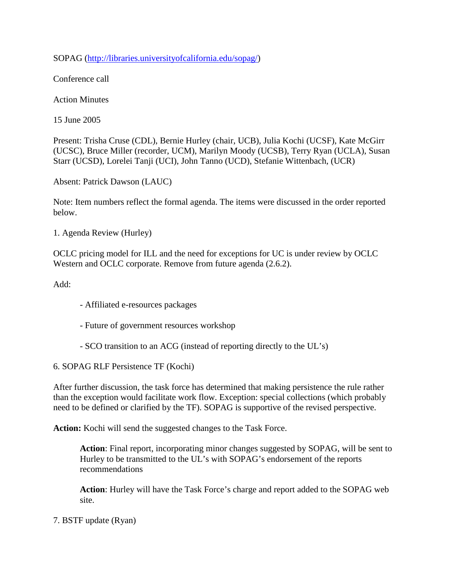SOPAG [\(http://libraries.universityofcalifornia.edu/sopag/\)](http://libraries.universityofcalifornia.edu/sopag/)

Conference call

Action Minutes

15 June 2005

Present: Trisha Cruse (CDL), Bernie Hurley (chair, UCB), Julia Kochi (UCSF), Kate McGirr (UCSC), Bruce Miller (recorder, UCM), Marilyn Moody (UCSB), Terry Ryan (UCLA), Susan Starr (UCSD), Lorelei Tanji (UCI), John Tanno (UCD), Stefanie Wittenbach, (UCR)

Absent: Patrick Dawson (LAUC)

Note: Item numbers reflect the formal agenda. The items were discussed in the order reported below.

1. Agenda Review (Hurley)

OCLC pricing model for ILL and the need for exceptions for UC is under review by OCLC Western and OCLC corporate. Remove from future agenda (2.6.2).

Add:

- Affiliated e-resources packages
- Future of government resources workshop
- SCO transition to an ACG (instead of reporting directly to the UL's)

6. SOPAG RLF Persistence TF (Kochi)

After further discussion, the task force has determined that making persistence the rule rather than the exception would facilitate work flow. Exception: special collections (which probably need to be defined or clarified by the TF). SOPAG is supportive of the revised perspective.

**Action:** Kochi will send the suggested changes to the Task Force.

**Action**: Final report, incorporating minor changes suggested by SOPAG, will be sent to Hurley to be transmitted to the UL's with SOPAG's endorsement of the reports recommendations

**Action**: Hurley will have the Task Force's charge and report added to the SOPAG web site.

7. BSTF update (Ryan)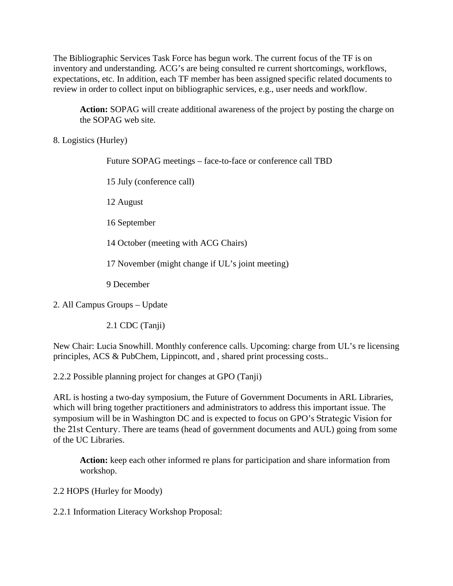The Bibliographic Services Task Force has begun work. The current focus of the TF is on inventory and understanding. ACG's are being consulted re current shortcomings, workflows, expectations, etc. In addition, each TF member has been assigned specific related documents to review in order to collect input on bibliographic services, e.g., user needs and workflow.

**Action:** SOPAG will create additional awareness of the project by posting the charge on the SOPAG web site.

8. Logistics (Hurley)

Future SOPAG meetings – face-to-face or conference call TBD

15 July (conference call)

12 August

16 September

14 October (meeting with ACG Chairs)

17 November (might change if UL's joint meeting)

9 December

2. All Campus Groups – Update

2.1 CDC (Tanji)

New Chair: Lucia Snowhill. Monthly conference calls. Upcoming: charge from UL's re licensing principles, ACS & PubChem, Lippincott, and , shared print processing costs..

2.2.2 Possible planning project for changes at GPO (Tanji)

ARL is hosting a two-day symposium, the Future of Government Documents in ARL Libraries, which will bring together practitioners and administrators to address this important issue. The symposium will be in Washington DC and is expected to focus on GPO's Strategic Vision for the 21st Century. There are teams (head of government documents and AUL) going from some of the UC Libraries.

**Action:** keep each other informed re plans for participation and share information from workshop.

2.2 HOPS (Hurley for Moody)

2.2.1 Information Literacy Workshop Proposal: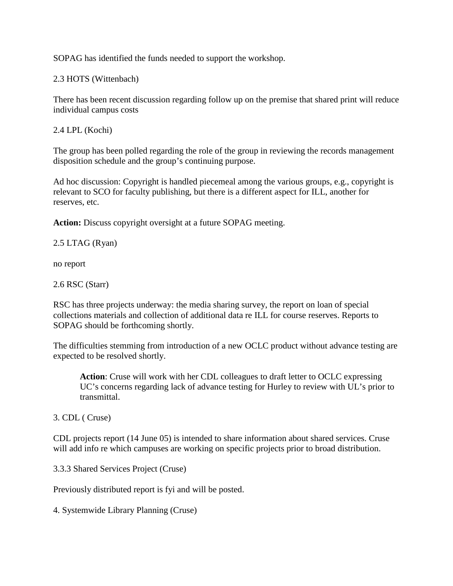SOPAG has identified the funds needed to support the workshop.

2.3 HOTS (Wittenbach)

There has been recent discussion regarding follow up on the premise that shared print will reduce individual campus costs

2.4 LPL (Kochi)

The group has been polled regarding the role of the group in reviewing the records management disposition schedule and the group's continuing purpose.

Ad hoc discussion: Copyright is handled piecemeal among the various groups, e.g., copyright is relevant to SCO for faculty publishing, but there is a different aspect for ILL, another for reserves, etc.

**Action:** Discuss copyright oversight at a future SOPAG meeting.

## 2.5 LTAG (Ryan)

no report

2.6 RSC (Starr)

RSC has three projects underway: the media sharing survey, the report on loan of special collections materials and collection of additional data re ILL for course reserves. Reports to SOPAG should be forthcoming shortly.

The difficulties stemming from introduction of a new OCLC product without advance testing are expected to be resolved shortly.

**Action**: Cruse will work with her CDL colleagues to draft letter to OCLC expressing UC's concerns regarding lack of advance testing for Hurley to review with UL's prior to transmittal.

3. CDL ( Cruse)

CDL projects report (14 June 05) is intended to share information about shared services. Cruse will add info re which campuses are working on specific projects prior to broad distribution.

3.3.3 Shared Services Project (Cruse)

Previously distributed report is fyi and will be posted.

4. Systemwide Library Planning (Cruse)